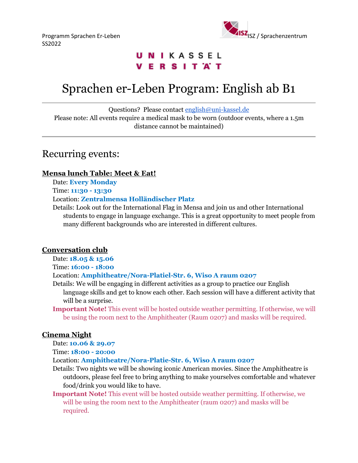SS2022



# **UNIKASSEL VERSITAT**

# Sprachen er-Leben Program: English ab B1

Questions? Please contact [english@uni-kassel.de](mailto:english@uni-kassel.de)

Please note: All events require a medical mask to be worn (outdoor events, where a 1.5m distance cannot be maintained)

# Recurring events:

## **Mensa lunch Table: Meet & Eat!**

Date: **Every Monday**

Time: **11:30 - 13:30**

### Location: **Zentralmensa Holländischer Platz**

Details: Look out for the International Flag in Mensa and join us and other International students to engage in language exchange. This is a great opportunity to meet people from many different backgrounds who are interested in different cultures.

## **Conversation club**

Date: **18.05 & 15.06**

Time: **16:00 - 18:00**

### Location: **Amphitheatre/Nora-Platiel-Str. 6, Wiso A raum 0207**

- Details: We will be engaging in different activities as a group to practice our English language skills and get to know each other. Each session will have a different activity that will be a surprise.
- **Important Note!** This event will be hosted outside weather permitting. If otherwise, we will be using the room next to the Amphitheater (Raum 0207) and masks will be required.

## **Cinema Night**

Date: **10.06 & 29.07**

Time: **18:00 - 20:00**

Location: **Amphitheatre/Nora-Platie-Str. 6, Wiso A raum 0207**

- Details: Two nights we will be showing iconic American movies. Since the Amphitheatre is outdoors, please feel free to bring anything to make yourselves comfortable and whatever food/drink you would like to have.
- **Important Note!** This event will be hosted outside weather permitting. If otherwise, we will be using the room next to the Amphitheater (raum 0207) and masks will be required.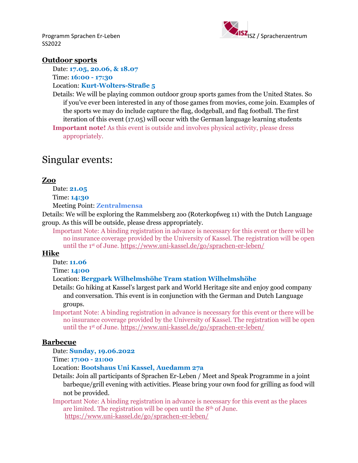SS2022



### **Outdoor sports**

Date: **17.05, 20.06, & 18.07**

Time: **16:00 - 17:30**

Location: **Kurt-Wolters-Straße 5**

Details: We will be playing common outdoor group sports games from the United States. So if you've ever been interested in any of those games from movies, come join. Examples of the sports we may do include capture the flag, dodgeball, and flag football. The first iteration of this event (17.05) will occur with the German language learning students

**Important note!** As this event is outside and involves physical activity, please dress appropriately.

# Singular events:

#### **Zoo**

Date: **21.05**

Time: **14:30**

Meeting Point: **Zentralmensa**

Details: We will be exploring the Rammelsberg zoo (Roterkopfweg 11) with the Dutch Language group. As this will be outside, please dress appropriately.

Important Note: A binding registration in advance is necessary for this event or there will be no insurance coverage provided by the University of Kassel. The registration will be open until the 1st of June.<https://www.uni-kassel.de/go/sprachen-er-leben/>

### **Hike**

Date: **11.06**

Time: **14:00**

#### Location: **Bergpark Wilhelmshöhe Tram station Wilhelmshöhe**

Details: Go hiking at Kassel's largest park and World Heritage site and enjoy good company and conversation. This event is in conjunction with the German and Dutch Language groups.

Important Note: A binding registration in advance is necessary for this event or there will be no insurance coverage provided by the University of Kassel. The registration will be open until the 1st of June.<https://www.uni-kassel.de/go/sprachen-er-leben/>

#### **Barbecue**

Date: **Sunday, 19.06.2022**

Time: **17:00 - 21:00**

Location: **Bootshaus Uni Kassel, Auedamm 27a**

Details: Join all participants of Sprachen Er-Leben / Meet and Speak Programme in a joint barbeque/grill evening with activities. Please bring your own food for grilling as food will not be provided.

Important Note: A binding registration in advance is necessary for this event as the places are limited. The registration will be open until the 8th of June. <https://www.uni-kassel.de/go/sprachen-er-leben/>